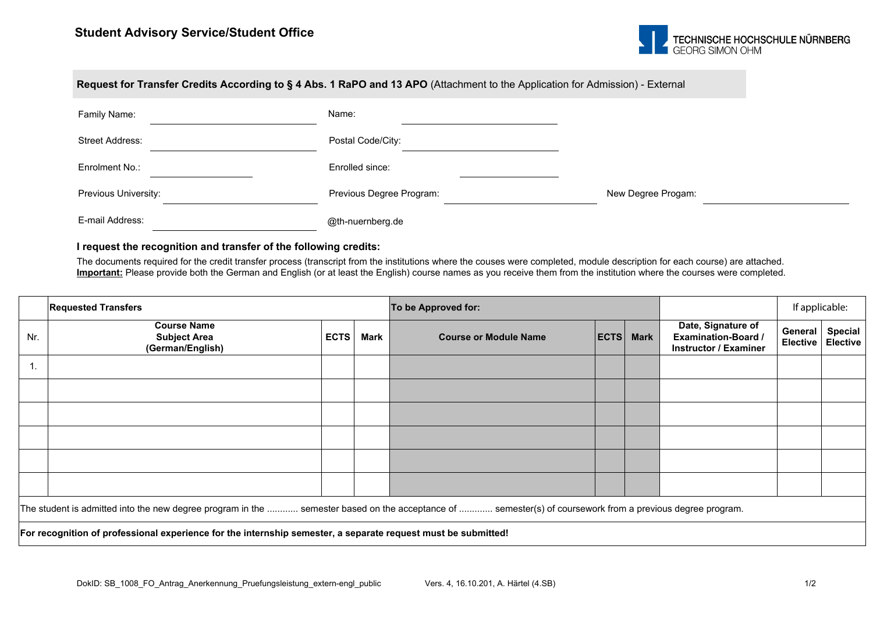

| Request for Transfer Credits According to § 4 Abs. 1 RaPO and 13 APO (Attachment to the Application for Admission) - External |                          |                    |  |  |  |  |  |  |  |  |
|-------------------------------------------------------------------------------------------------------------------------------|--------------------------|--------------------|--|--|--|--|--|--|--|--|
| Family Name:                                                                                                                  | Name:                    |                    |  |  |  |  |  |  |  |  |
| Street Address:                                                                                                               | Postal Code/City:        |                    |  |  |  |  |  |  |  |  |
| Enrolment No.:                                                                                                                | Enrolled since:          |                    |  |  |  |  |  |  |  |  |
| Previous University:                                                                                                          | Previous Degree Program: | New Degree Progam: |  |  |  |  |  |  |  |  |
| E-mail Address:                                                                                                               | @th-nuernberg.de         |                    |  |  |  |  |  |  |  |  |

## **I request the recognition and transfer of the following credits:**

The documents required for the credit transfer process (transcript from the institutions where the couses were completed, module description for each course) are attached. Important: Please provide both the German and English (or at least the English) course names as you receive them from the institution where the courses were completed.

|                                                                                                                                                            | <b>Requested Transfers</b>                                    |             |      | To be Approved for:          |      |             |                                                                                  | If applicable: |                                       |  |  |  |
|------------------------------------------------------------------------------------------------------------------------------------------------------------|---------------------------------------------------------------|-------------|------|------------------------------|------|-------------|----------------------------------------------------------------------------------|----------------|---------------------------------------|--|--|--|
| Nr.                                                                                                                                                        | <b>Course Name</b><br><b>Subject Area</b><br>(German/English) | <b>ECTS</b> | Mark | <b>Course or Module Name</b> | ECTS | <b>Mark</b> | Date, Signature of<br><b>Examination-Board /</b><br><b>Instructor / Examiner</b> | General        | <b>Special</b><br>Elective   Elective |  |  |  |
| н.                                                                                                                                                         |                                                               |             |      |                              |      |             |                                                                                  |                |                                       |  |  |  |
|                                                                                                                                                            |                                                               |             |      |                              |      |             |                                                                                  |                |                                       |  |  |  |
|                                                                                                                                                            |                                                               |             |      |                              |      |             |                                                                                  |                |                                       |  |  |  |
|                                                                                                                                                            |                                                               |             |      |                              |      |             |                                                                                  |                |                                       |  |  |  |
|                                                                                                                                                            |                                                               |             |      |                              |      |             |                                                                                  |                |                                       |  |  |  |
|                                                                                                                                                            |                                                               |             |      |                              |      |             |                                                                                  |                |                                       |  |  |  |
| The student is admitted into the new degree program in the  semester based on the acceptance of  semester(s) of coursework from a previous degree program. |                                                               |             |      |                              |      |             |                                                                                  |                |                                       |  |  |  |
| For recognition of professional experience for the internship semester, a separate request must be submitted!                                              |                                                               |             |      |                              |      |             |                                                                                  |                |                                       |  |  |  |